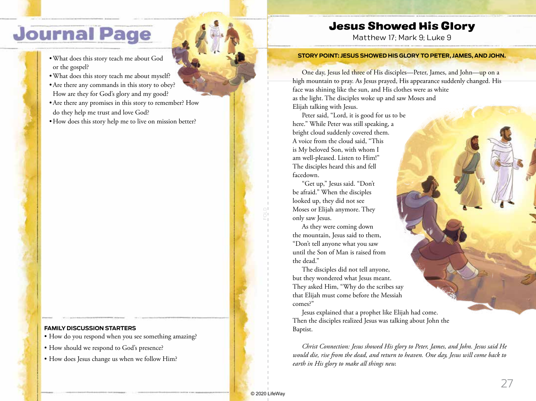## **Journal Page**

- •What does this story teach me about God or the gospel?
- •What does this story teach me about myself?
- •Are there any commands in this story to obey? How are they for God's glory and my good?
- •Are there any promises in this story to remember? How do they help me trust and love God?
- How does this story help me to live on mission better?

### **FAMILY DISCUSSION STARTERS**

- How do you respond when you see something amazing?
- How should we respond to God's presence?
- How does Jesus change us when we follow Him?

## Jesus Showed His Glory

Matthew 17; Mark 9; Luke 9

#### **STORY POINT: JESUS SHOWED HIS GLORY TO PETER, JAMES, AND JOHN.**

One day, Jesus led three of His disciples—Peter, James, and John—up on a high mountain to pray. As Jesus prayed, His appearance suddenly changed. His face was shining like the sun, and His clothes were as white as the light. The disciples woke up and saw Moses and Elijah talking with Jesus.

Peter said, "Lord, it is good for us to be here." While Peter was still speaking, a bright cloud suddenly covered them. A voice from the cloud said, "This is My beloved Son, with whom I am well-pleased. Listen to Him!" The disciples heard this and fell facedown.

"Get up," Jesus said. "Don't be afraid." When the disciples looked up, they did not see Moses or Elijah anymore. They only saw Jesus.

As they were coming down the mountain, Jesus said to them, "Don't tell anyone what you saw until the Son of Man is raised from the dead."

The disciples did not tell anyone, but they wondered what Jesus meant. They asked Him, "Why do the scribes say that Elijah must come before the Messiah comes?"

Jesus explained that a prophet like Elijah had come. Then the disciples realized Jesus was talking about John the Baptist.

*Christ Connection: Jesus showed His glory to Peter, James, and John. Jesus said He would die, rise from the dead, and return to heaven. One day, Jesus will come back to earth in His glory to make all things new.*